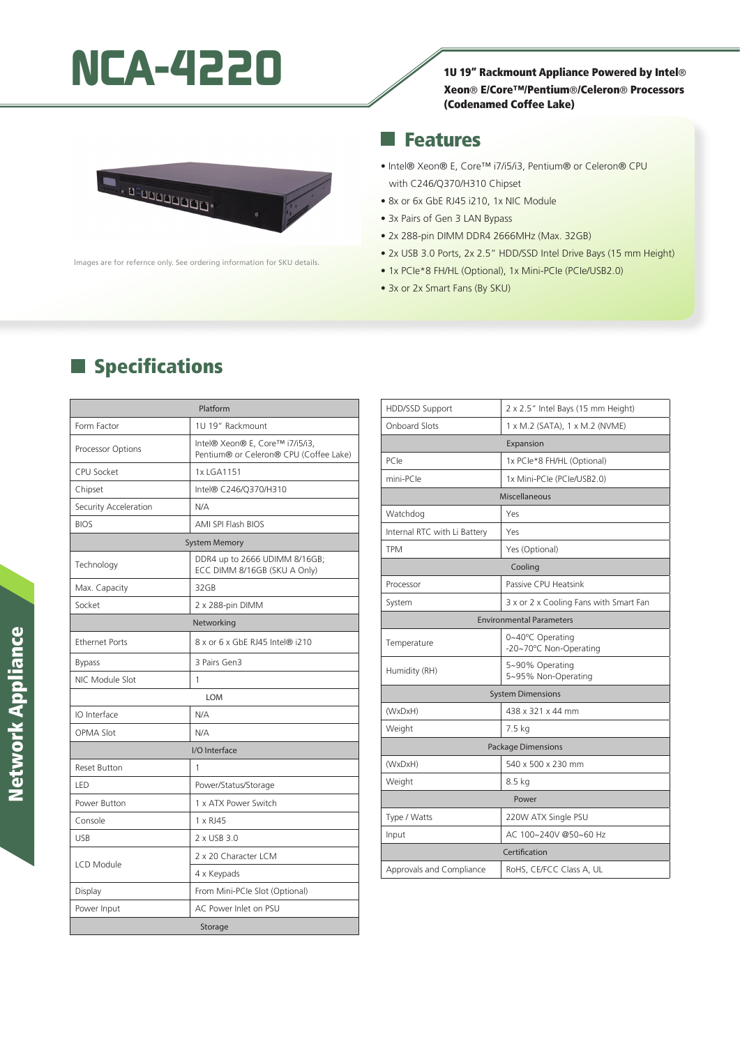# **NCA-4220** 10 19" Rackmount Appliance Powered by Intel®

#### Xeon® E/Core™/Pentium®/Celeron® Processors (Codenamed Coffee Lake)



lmages are for refernce only. See ordering information for SKU details.

#### Features ×.

- Intel® Xeon® E, Core™ i7/i5/i3, Pentium® or Celeron® CPU with C246/Q370/H310 Chipset
- 8x or 6x GbE RJ45 i210, 1x NIC Module
- 3x Pairs of Gen 3 LAN Bypass
- 2x 288-pin DIMM DDR4 2666MHz (Max. 32GB)
- 2x USB 3.0 Ports, 2x 2.5" HDD/SSD Intel Drive Bays (15 mm Height)
- 1x PCIe\*8 FH/HL (Optional), 1x Mini-PCIe (PCIe/USB2.0)
- 3x or 2x Smart Fans (By SKU)

### **Specifications**

| Platform              |                                                                           |  |
|-----------------------|---------------------------------------------------------------------------|--|
| Form Factor           | 1U 19" Rackmount                                                          |  |
| Processor Options     | Intel® Xeon® E, Core™ i7/i5/i3,<br>Pentium® or Celeron® CPU (Coffee Lake) |  |
| CPU Socket            | 1x LGA1151                                                                |  |
| Chipset               | Intel® C246/Q370/H310                                                     |  |
| Security Acceleration | N/A                                                                       |  |
| <b>BIOS</b>           | <b>AMI SPI Flash BIOS</b>                                                 |  |
| <b>System Memory</b>  |                                                                           |  |
| Technology            | DDR4 up to 2666 UDIMM 8/16GB;<br>ECC DIMM 8/16GB (SKU A Only)             |  |
| Max. Capacity         | 32GB                                                                      |  |
| Socket                | 2 x 288-pin DIMM                                                          |  |
| Networking            |                                                                           |  |
| <b>Ethernet Ports</b> | 8 x or 6 x GbE RJ45 Intel® i210                                           |  |
| <b>Bypass</b>         | 3 Pairs Gen3                                                              |  |
| NIC Module Slot       | 1                                                                         |  |
| LOM                   |                                                                           |  |
| IO Interface          | N/A                                                                       |  |
| <b>OPMA Slot</b>      | N/A                                                                       |  |
| I/O Interface         |                                                                           |  |
| Reset Button          | 1                                                                         |  |
| LED                   | Power/Status/Storage                                                      |  |
| Power Button          | 1 x ATX Power Switch                                                      |  |
| Console               | 1 x RJ45                                                                  |  |
| <b>USB</b>            | 2 x USB 3.0                                                               |  |
| LCD Module            | 2 x 20 Character LCM                                                      |  |
|                       | 4 x Keypads                                                               |  |
| Display               | From Mini-PCIe Slot (Optional)                                            |  |
| Power Input           | AC Power Inlet on PSU                                                     |  |
| Storage               |                                                                           |  |

| HDD/SSD Support                 | 2 x 2.5" Intel Bays (15 mm Height)         |  |
|---------------------------------|--------------------------------------------|--|
| Onboard Slots                   | 1 x M.2 (SATA), 1 x M.2 (NVME)             |  |
| Expansion                       |                                            |  |
| PCIe                            | 1x PCle*8 FH/HL (Optional)                 |  |
| mini-PCIe                       | 1x Mini-PCle (PCle/USB2.0)                 |  |
| <b>Miscellaneous</b>            |                                            |  |
| Watchdog                        | Yes                                        |  |
| Internal RTC with Li Battery    | Yes                                        |  |
| <b>TPM</b>                      | Yes (Optional)                             |  |
| Cooling                         |                                            |  |
| Processor                       | Passive CPU Heatsink                       |  |
| System                          | 3 x or 2 x Cooling Fans with Smart Fan     |  |
| <b>Environmental Parameters</b> |                                            |  |
| Temperature                     | 0~40°C Operating<br>-20~70°C Non-Operating |  |
| Humidity (RH)                   | 5~90% Operating<br>5~95% Non-Operating     |  |
| <b>System Dimensions</b>        |                                            |  |
| (WxDxH)                         | 438 x 321 x 44 mm                          |  |
| Weight                          | 7.5 kg                                     |  |
| <b>Package Dimensions</b>       |                                            |  |
| (WxDxH)                         | 540 x 500 x 230 mm                         |  |
| Weight                          | 8.5 <sub>kg</sub>                          |  |
| Power                           |                                            |  |
| Type / Watts                    | 220W ATX Single PSU                        |  |
| Input                           | AC 100~240V @50~60 Hz                      |  |
| Certification                   |                                            |  |
| Approvals and Compliance        | RoHS, CE/FCC Class A, UL                   |  |